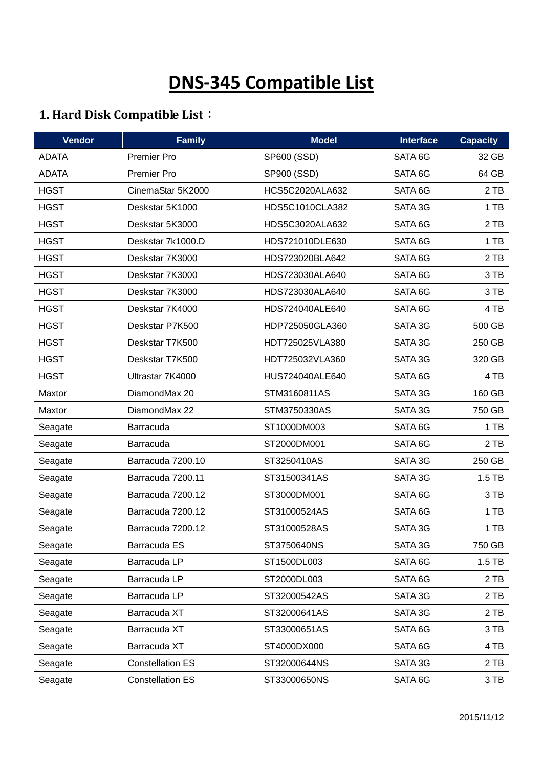# **DNS-345 Compatible List**

## **1. Hard Disk Compatible List**:

| <b>Vendor</b> | <b>Family</b>           | <b>Model</b>    | <b>Interface</b> | <b>Capacity</b> |
|---------------|-------------------------|-----------------|------------------|-----------------|
| <b>ADATA</b>  | <b>Premier Pro</b>      | SP600 (SSD)     | SATA 6G          | 32 GB           |
| <b>ADATA</b>  | Premier Pro             | SP900 (SSD)     | SATA 6G          | 64 GB           |
| <b>HGST</b>   | CinemaStar 5K2000       | HCS5C2020ALA632 | SATA 6G          | 2 TB            |
| <b>HGST</b>   | Deskstar 5K1000         | HDS5C1010CLA382 | SATA 3G          | 1 TB            |
| <b>HGST</b>   | Deskstar 5K3000         | HDS5C3020ALA632 | SATA 6G          | 2 TB            |
| <b>HGST</b>   | Deskstar 7k1000.D       | HDS721010DLE630 | SATA 6G          | 1 TB            |
| <b>HGST</b>   | Deskstar 7K3000         | HDS723020BLA642 | SATA 6G          | 2 TB            |
| <b>HGST</b>   | Deskstar 7K3000         | HDS723030ALA640 | SATA 6G          | 3 TB            |
| <b>HGST</b>   | Deskstar 7K3000         | HDS723030ALA640 | SATA 6G          | 3 TB            |
| <b>HGST</b>   | Deskstar 7K4000         | HDS724040ALE640 | SATA 6G          | 4 TB            |
| <b>HGST</b>   | Deskstar P7K500         | HDP725050GLA360 | SATA 3G          | 500 GB          |
| <b>HGST</b>   | Deskstar T7K500         | HDT725025VLA380 | SATA 3G          | 250 GB          |
| <b>HGST</b>   | Deskstar T7K500         | HDT725032VLA360 | SATA 3G          | 320 GB          |
| <b>HGST</b>   | Ultrastar 7K4000        | HUS724040ALE640 | SATA 6G          | 4 TB            |
| Maxtor        | DiamondMax 20           | STM3160811AS    | SATA 3G          | 160 GB          |
| Maxtor        | DiamondMax 22           | STM3750330AS    | SATA 3G          | 750 GB          |
| Seagate       | Barracuda               | ST1000DM003     | SATA 6G          | 1 TB            |
| Seagate       | Barracuda               | ST2000DM001     | SATA 6G          | 2 TB            |
| Seagate       | Barracuda 7200.10       | ST3250410AS     | SATA 3G          | 250 GB          |
| Seagate       | Barracuda 7200.11       | ST31500341AS    | SATA 3G          | $1.5$ TB        |
| Seagate       | Barracuda 7200.12       | ST3000DM001     | SATA 6G          | 3 TB            |
| Seagate       | Barracuda 7200.12       | ST31000524AS    | SATA 6G          | 1 TB            |
| Seagate       | Barracuda 7200.12       | ST31000528AS    | SATA 3G          | 1 TB            |
| Seagate       | Barracuda ES            | ST3750640NS     | SATA 3G          | 750 GB          |
| Seagate       | Barracuda LP            | ST1500DL003     | SATA 6G          | $1.5$ TB        |
| Seagate       | Barracuda LP            | ST2000DL003     | SATA 6G          | 2 TB            |
| Seagate       | Barracuda LP            | ST32000542AS    | SATA 3G          | 2 TB            |
| Seagate       | Barracuda XT            | ST32000641AS    | SATA 3G          | 2 TB            |
| Seagate       | Barracuda XT            | ST33000651AS    | SATA 6G          | 3 TB            |
| Seagate       | Barracuda XT            | ST4000DX000     | SATA 6G          | 4 TB            |
| Seagate       | <b>Constellation ES</b> | ST32000644NS    | SATA 3G          | 2 TB            |
| Seagate       | <b>Constellation ES</b> | ST33000650NS    | SATA 6G          | 3 TB            |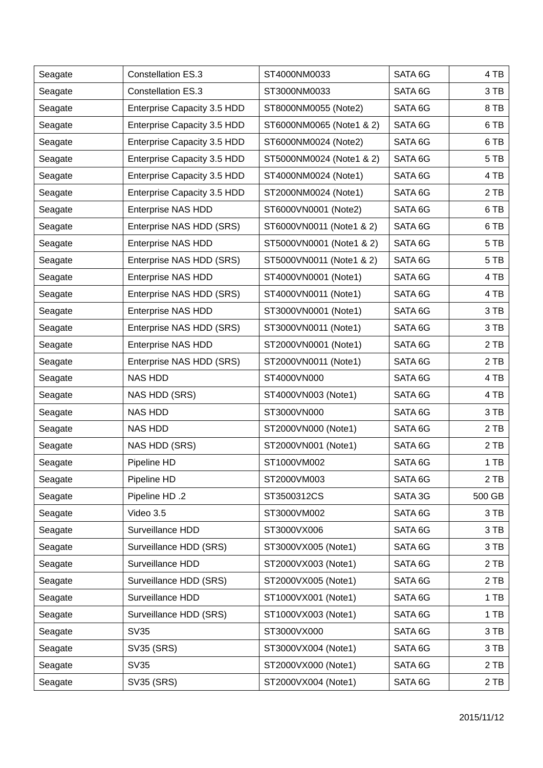| Seagate | <b>Constellation ES.3</b>   | ST4000NM0033             | SATA 6G | 4 TB   |
|---------|-----------------------------|--------------------------|---------|--------|
| Seagate | <b>Constellation ES.3</b>   | ST3000NM0033             | SATA 6G | 3 TB   |
| Seagate | Enterprise Capacity 3.5 HDD | ST8000NM0055 (Note2)     | SATA 6G | 8 TB   |
| Seagate | Enterprise Capacity 3.5 HDD | ST6000NM0065 (Note1 & 2) | SATA 6G | 6 TB   |
| Seagate | Enterprise Capacity 3.5 HDD | ST6000NM0024 (Note2)     | SATA 6G | 6 TB   |
| Seagate | Enterprise Capacity 3.5 HDD | ST5000NM0024 (Note1 & 2) | SATA 6G | 5 TB   |
| Seagate | Enterprise Capacity 3.5 HDD | ST4000NM0024 (Note1)     | SATA 6G | 4 TB   |
| Seagate | Enterprise Capacity 3.5 HDD | ST2000NM0024 (Note1)     | SATA 6G | 2 TB   |
| Seagate | <b>Enterprise NAS HDD</b>   | ST6000VN0001 (Note2)     | SATA 6G | 6 TB   |
| Seagate | Enterprise NAS HDD (SRS)    | ST6000VN0011 (Note1 & 2) | SATA 6G | 6 TB   |
| Seagate | <b>Enterprise NAS HDD</b>   | ST5000VN0001 (Note1 & 2) | SATA 6G | 5 TB   |
| Seagate | Enterprise NAS HDD (SRS)    | ST5000VN0011 (Note1 & 2) | SATA 6G | 5 TB   |
| Seagate | <b>Enterprise NAS HDD</b>   | ST4000VN0001 (Note1)     | SATA 6G | 4 TB   |
| Seagate | Enterprise NAS HDD (SRS)    | ST4000VN0011 (Note1)     | SATA 6G | 4 TB   |
| Seagate | <b>Enterprise NAS HDD</b>   | ST3000VN0001 (Note1)     | SATA 6G | 3 TB   |
| Seagate | Enterprise NAS HDD (SRS)    | ST3000VN0011 (Note1)     | SATA 6G | 3 TB   |
| Seagate | <b>Enterprise NAS HDD</b>   | ST2000VN0001 (Note1)     | SATA 6G | 2 TB   |
| Seagate | Enterprise NAS HDD (SRS)    | ST2000VN0011 (Note1)     | SATA 6G | 2 TB   |
| Seagate | <b>NAS HDD</b>              | ST4000VN000              | SATA 6G | 4 TB   |
| Seagate | NAS HDD (SRS)               | ST4000VN003 (Note1)      | SATA 6G | 4 TB   |
| Seagate | <b>NAS HDD</b>              | ST3000VN000              | SATA 6G | 3 TB   |
| Seagate | <b>NAS HDD</b>              | ST2000VN000 (Note1)      | SATA 6G | 2 TB   |
| Seagate | NAS HDD (SRS)               | ST2000VN001 (Note1)      | SATA 6G | 2 TB   |
| Seagate | Pipeline HD                 | ST1000VM002              | SATA 6G | 1 TB   |
| Seagate | Pipeline HD                 | ST2000VM003              | SATA 6G | 2 TB   |
| Seagate | Pipeline HD .2              | ST3500312CS              | SATA 3G | 500 GB |
| Seagate | Video 3.5                   | ST3000VM002              | SATA 6G | 3 TB   |
| Seagate | Surveillance HDD            | ST3000VX006              | SATA 6G | 3 TB   |
| Seagate | Surveillance HDD (SRS)      | ST3000VX005 (Note1)      | SATA 6G | 3 TB   |
| Seagate | Surveillance HDD            | ST2000VX003 (Note1)      | SATA 6G | 2 TB   |
| Seagate | Surveillance HDD (SRS)      | ST2000VX005 (Note1)      | SATA 6G | 2 TB   |
| Seagate | Surveillance HDD            | ST1000VX001 (Note1)      | SATA 6G | 1 TB   |
| Seagate | Surveillance HDD (SRS)      | ST1000VX003 (Note1)      | SATA 6G | 1 TB   |
| Seagate | <b>SV35</b>                 | ST3000VX000              | SATA 6G | 3 TB   |
| Seagate | SV35 (SRS)                  | ST3000VX004 (Note1)      | SATA 6G | 3 TB   |
| Seagate | <b>SV35</b>                 | ST2000VX000 (Note1)      | SATA 6G | 2 TB   |
| Seagate | SV35 (SRS)                  | ST2000VX004 (Note1)      | SATA 6G | 2 TB   |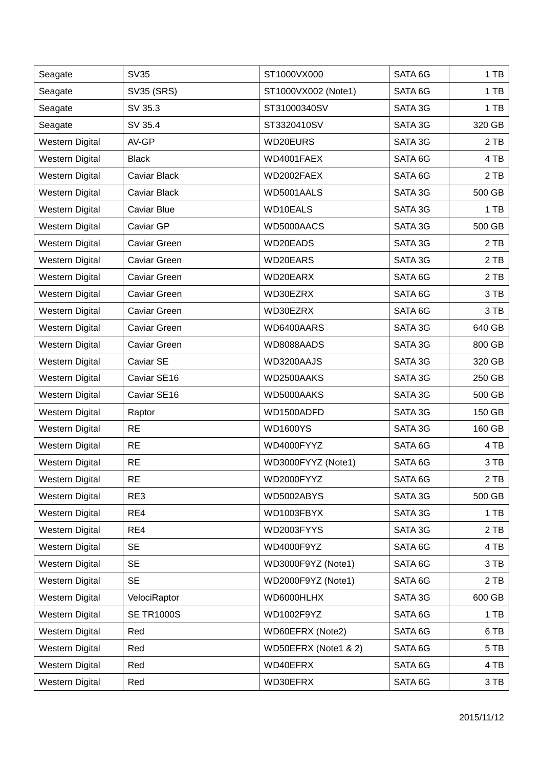| Seagate                | <b>SV35</b>         | ST1000VX000          | SATA 6G | 1 TB   |
|------------------------|---------------------|----------------------|---------|--------|
| Seagate                | SV35 (SRS)          | ST1000VX002 (Note1)  | SATA 6G | 1 TB   |
| Seagate                | SV 35.3             | ST31000340SV         | SATA 3G | 1 TB   |
| Seagate                | SV 35.4             | ST3320410SV          | SATA 3G | 320 GB |
| <b>Western Digital</b> | AV-GP               | WD20EURS             | SATA 3G | 2 TB   |
| Western Digital        | <b>Black</b>        | WD4001FAEX           | SATA 6G | 4 TB   |
| <b>Western Digital</b> | Caviar Black        | WD2002FAEX           | SATA 6G | 2 TB   |
| <b>Western Digital</b> | Caviar Black        | WD5001AALS           | SATA 3G | 500 GB |
| <b>Western Digital</b> | Caviar Blue         | WD10EALS             | SATA 3G | 1 TB   |
| <b>Western Digital</b> | Caviar GP           | WD5000AACS           | SATA 3G | 500 GB |
| <b>Western Digital</b> | Caviar Green        | WD20EADS             | SATA 3G | 2 TB   |
| <b>Western Digital</b> | Caviar Green        | WD20EARS             | SATA 3G | 2 TB   |
| Western Digital        | Caviar Green        | WD20EARX             | SATA 6G | 2 TB   |
| <b>Western Digital</b> | Caviar Green        | WD30EZRX             | SATA 6G | 3 TB   |
| <b>Western Digital</b> | <b>Caviar Green</b> | WD30EZRX             | SATA 6G | 3 TB   |
| <b>Western Digital</b> | Caviar Green        | WD6400AARS           | SATA 3G | 640 GB |
| <b>Western Digital</b> | Caviar Green        | WD8088AADS           | SATA 3G | 800 GB |
| <b>Western Digital</b> | Caviar SE           | WD3200AAJS           | SATA 3G | 320 GB |
| <b>Western Digital</b> | Caviar SE16         | WD2500AAKS           | SATA 3G | 250 GB |
| <b>Western Digital</b> | Caviar SE16         | WD5000AAKS           | SATA 3G | 500 GB |
| Western Digital        | Raptor              | WD1500ADFD           | SATA 3G | 150 GB |
| <b>Western Digital</b> | <b>RE</b>           | <b>WD1600YS</b>      | SATA 3G | 160 GB |
| <b>Western Digital</b> | <b>RE</b>           | WD4000FYYZ           | SATA 6G | 4 TB   |
| <b>Western Digital</b> | <b>RE</b>           | WD3000FYYZ (Note1)   | SATA 6G | 3 TB   |
| <b>Western Digital</b> | <b>RE</b>           | WD2000FYYZ           | SATA 6G | 2 TB   |
| <b>Western Digital</b> | RE3                 | WD5002ABYS           | SATA 3G | 500 GB |
| <b>Western Digital</b> | RE4                 | WD1003FBYX           | SATA 3G | 1 TB   |
| <b>Western Digital</b> | RE4                 | WD2003FYYS           | SATA 3G | 2 TB   |
| <b>Western Digital</b> | <b>SE</b>           | WD4000F9YZ           | SATA 6G | 4 TB   |
| <b>Western Digital</b> | <b>SE</b>           | WD3000F9YZ (Note1)   | SATA 6G | 3 TB   |
| <b>Western Digital</b> | <b>SE</b>           | WD2000F9YZ (Note1)   | SATA 6G | 2 TB   |
| Western Digital        | VelociRaptor        | WD6000HLHX           | SATA 3G | 600 GB |
| <b>Western Digital</b> | <b>SE TR1000S</b>   | WD1002F9YZ           | SATA 6G | 1 TB   |
| <b>Western Digital</b> | Red                 | WD60EFRX (Note2)     | SATA 6G | 6TB    |
| Western Digital        | Red                 | WD50EFRX (Note1 & 2) | SATA 6G | 5 TB   |
| <b>Western Digital</b> | Red                 | WD40EFRX             | SATA 6G | 4 TB   |
| <b>Western Digital</b> | Red                 | WD30EFRX             | SATA 6G | 3 TB   |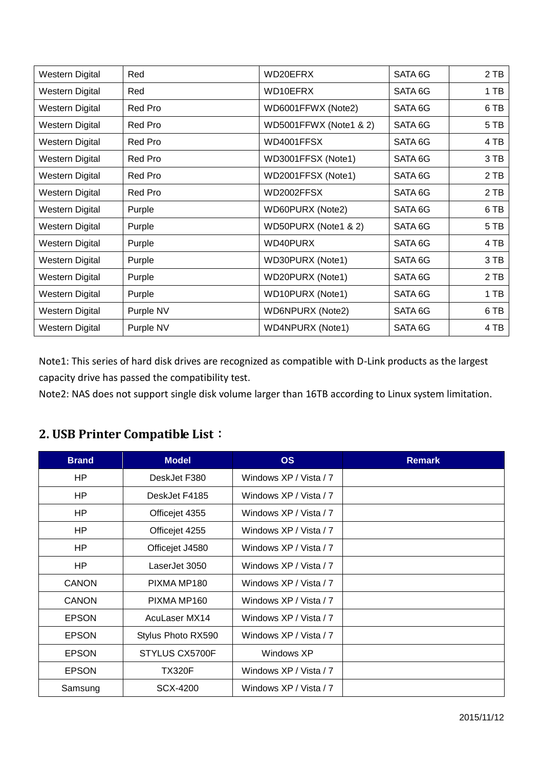| Western Digital        | Red            | WD20EFRX                | SATA 6G | 2 TB |
|------------------------|----------------|-------------------------|---------|------|
| Western Digital        | Red            | WD10EFRX                | SATA 6G | 1 TB |
| Western Digital        | Red Pro        | WD6001FFWX (Note2)      | SATA 6G | 6 TB |
| Western Digital        | <b>Red Pro</b> | WD5001FFWX (Note1 & 2)  | SATA 6G | 5 TB |
| Western Digital        | Red Pro        | WD4001FFSX              | SATA 6G | 4 TB |
| Western Digital        | Red Pro        | WD3001FFSX (Note1)      | SATA 6G | 3 TB |
| Western Digital        | Red Pro        | WD2001FFSX (Note1)      | SATA 6G | 2 TB |
| Western Digital        | Red Pro        | WD2002FFSX              | SATA 6G | 2 TB |
| Western Digital        | Purple         | WD60PURX (Note2)        | SATA 6G | 6 TB |
| Western Digital        | Purple         | WD50PURX (Note1 & 2)    | SATA 6G | 5 TB |
| Western Digital        | Purple         | WD40PURX                | SATA 6G | 4 TB |
| Western Digital        | Purple         | WD30PURX (Note1)        | SATA 6G | 3 TB |
| Western Digital        | Purple         | WD20PURX (Note1)        | SATA 6G | 2 TB |
| <b>Western Digital</b> | Purple         | WD10PURX (Note1)        | SATA 6G | 1 TB |
| Western Digital        | Purple NV      | <b>WD6NPURX (Note2)</b> | SATA 6G | 6 TB |
| Western Digital        | Purple NV      | <b>WD4NPURX (Note1)</b> | SATA 6G | 4 TB |

Note1: This series of hard disk drives are recognized as compatible with D-Link products as the largest capacity drive has passed the compatibility test.

Note2: NAS does not support single disk volume larger than 16TB according to Linux system limitation.

#### **2. USB Printer Compatible List**:

| <b>Brand</b> | <b>Model</b>       | <b>OS</b>              | <b>Remark</b> |
|--------------|--------------------|------------------------|---------------|
| HP           | DeskJet F380       | Windows XP / Vista / 7 |               |
| HP           | DeskJet F4185      | Windows XP / Vista / 7 |               |
| HP           | Officejet 4355     | Windows XP / Vista / 7 |               |
| HP           | Officejet 4255     | Windows XP / Vista / 7 |               |
| HP           | Officejet J4580    | Windows XP / Vista / 7 |               |
| HP           | LaserJet 3050      | Windows XP / Vista / 7 |               |
| CANON        | PIXMA MP180        | Windows XP / Vista / 7 |               |
| <b>CANON</b> | PIXMA MP160        | Windows XP / Vista / 7 |               |
| <b>EPSON</b> | AcuLaser MX14      | Windows XP / Vista / 7 |               |
| <b>EPSON</b> | Stylus Photo RX590 | Windows XP / Vista / 7 |               |
| <b>EPSON</b> | STYLUS CX5700F     | Windows XP             |               |
| <b>EPSON</b> | <b>TX320F</b>      | Windows XP / Vista / 7 |               |
| Samsung      | SCX-4200           | Windows XP / Vista / 7 |               |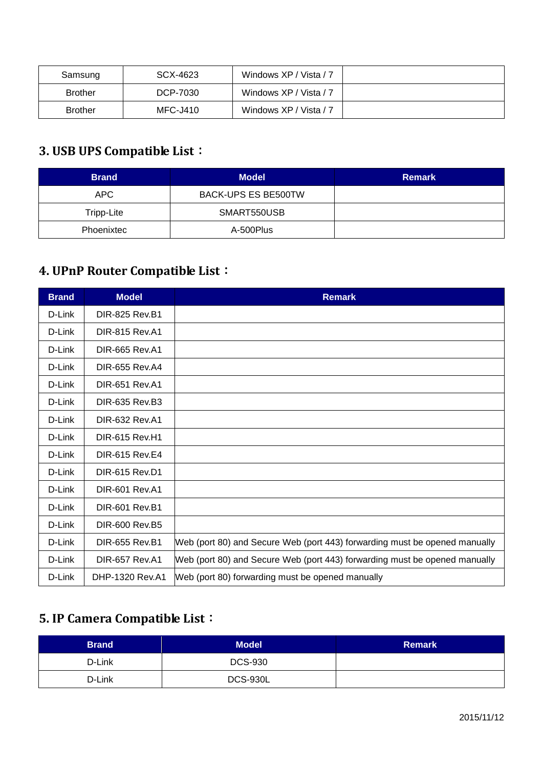| Samsung        | SCX-4623 | Windows XP / Vista / 7 |  |
|----------------|----------|------------------------|--|
| <b>Brother</b> | DCP-7030 | Windows XP / Vista / 7 |  |
| <b>Brother</b> | MFC-J410 | Windows XP / Vista / 7 |  |

### **3. USB UPS Compatible List**:

| <b>Brand</b> | <b>Model</b>               | <b>Remark</b> |
|--------------|----------------------------|---------------|
| APC.         | <b>BACK-UPS ES BE500TW</b> |               |
| Tripp-Lite   | SMART550USB                |               |
| Phoenixtec   | A-500Plus                  |               |

#### **4. UPnP Router Compatible List**:

| <b>Brand</b> | <b>Model</b>          | <b>Remark</b>                                                              |
|--------------|-----------------------|----------------------------------------------------------------------------|
| D-Link       | <b>DIR-825 Rev.B1</b> |                                                                            |
| D-Link       | <b>DIR-815 Rev.A1</b> |                                                                            |
| D-Link       | <b>DIR-665 Rev.A1</b> |                                                                            |
| D-Link       | DIR-655 Rev.A4        |                                                                            |
| D-Link       | <b>DIR-651 Rev.A1</b> |                                                                            |
| D-Link       | DIR-635 Rev.B3        |                                                                            |
| D-Link       | <b>DIR-632 Rev.A1</b> |                                                                            |
| D-Link       | <b>DIR-615 Rev.H1</b> |                                                                            |
| D-Link       | <b>DIR-615 Rev.E4</b> |                                                                            |
| D-Link       | <b>DIR-615 Rev.D1</b> |                                                                            |
| D-Link       | <b>DIR-601 Rev.A1</b> |                                                                            |
| D-Link       | <b>DIR-601 Rev.B1</b> |                                                                            |
| D-Link       | <b>DIR-600 Rev.B5</b> |                                                                            |
| D-Link       | <b>DIR-655 Rev.B1</b> | Web (port 80) and Secure Web (port 443) forwarding must be opened manually |
| D-Link       | <b>DIR-657 Rev.A1</b> | Web (port 80) and Secure Web (port 443) forwarding must be opened manually |
| D-Link       | DHP-1320 Rev.A1       | Web (port 80) forwarding must be opened manually                           |

### **5. IP Camera Compatible List**:

| <b>Brand</b> | <b>Model</b>    | <b>Remark</b> |
|--------------|-----------------|---------------|
| D-Link       | <b>DCS-930</b>  |               |
| D-Link       | <b>DCS-930L</b> |               |